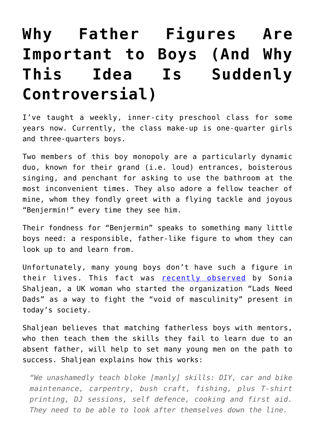## **[Why Father Figures Are](https://intellectualtakeout.org/2018/03/why-father-figures-are-important-to-boys-and-why-this-idea-is-suddenly-controversial/) [Important to Boys \(And Why](https://intellectualtakeout.org/2018/03/why-father-figures-are-important-to-boys-and-why-this-idea-is-suddenly-controversial/) [This Idea Is Suddenly](https://intellectualtakeout.org/2018/03/why-father-figures-are-important-to-boys-and-why-this-idea-is-suddenly-controversial/) [Controversial\)](https://intellectualtakeout.org/2018/03/why-father-figures-are-important-to-boys-and-why-this-idea-is-suddenly-controversial/)**

I've taught a weekly, inner-city preschool class for some years now. Currently, the class make-up is one-quarter girls and three-quarters boys.

Two members of this boy monopoly are a particularly dynamic duo, known for their grand (i.e. loud) entrances, boisterous singing, and penchant for asking to use the bathroom at the most inconvenient times. They also adore a fellow teacher of mine, whom they fondly greet with a flying tackle and joyous "Benjermin!" every time they see him.

Their fondness for "Benjermin" speaks to something many little boys need: a responsible, father-like figure to whom they can look up to and learn from.

Unfortunately, many young boys don't have such a figure in their lives. This fact was [recently observed](https://www.telegraph.co.uk/men/thinking-man/lads-need-dads-one-mums-mission-save-british-masculinity/) by Sonia Shaljean, a UK woman who started the organization "Lads Need Dads" as a way to fight the "void of masculinity" present in today's society.

Shaljean believes that matching fatherless boys with mentors, who then teach them the skills they fail to learn due to an absent father, will help to set many young men on the path to success. Shaljean explains how this works:

*"We unashamedly teach bloke [manly] skills: DIY, car and bike maintenance, carpentry, bush craft, fishing, plus T-shirt printing, DJ sessions, self defence, cooking and first aid. They need to be able to look after themselves down the line.*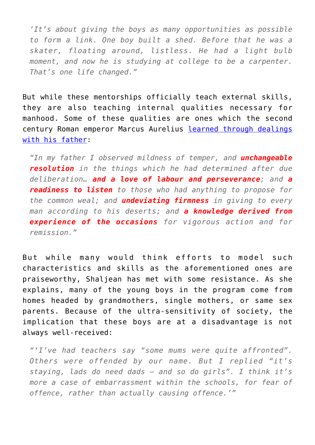*'It's about giving the boys as many opportunities as possible to form a link. One boy built a shed. Before that he was a skater, floating around, listless. He had a light bulb moment, and now he is studying at college to be a carpenter. That's one life changed."*

But while these mentorships officially teach external skills, they are also teaching internal qualities necessary for manhood. Some of these qualities are ones which the second century Roman emperor Marcus Aurelius [learned through dealings](http://classics.mit.edu/Antoninus/meditations.1.one.html) [with his father](http://classics.mit.edu/Antoninus/meditations.1.one.html):

*"In my father I observed mildness of temper, and unchangeable resolution in the things which he had determined after due deliberation… and a love of labour and perseverance; and a readiness to listen to those who had anything to propose for the common weal; and undeviating firmness in giving to every man according to his deserts; and a knowledge derived from experience of the occasions for vigorous action and for remission."*

But while many would think efforts to model such characteristics and skills as the aforementioned ones are praiseworthy, Shaljean has met with some resistance. As she explains, many of the young boys in the program come from homes headed by grandmothers, single mothers, or same sex parents. Because of the ultra-sensitivity of society, the implication that these boys are at a disadvantage is not always well-received:

*"'I've had teachers say "some mums were quite affronted". Others were offended by our name. But I replied "it's staying, lads do need dads – and so do girls". I think it's more a case of embarrassment within the schools, for fear of offence, rather than actually causing offence.'"*